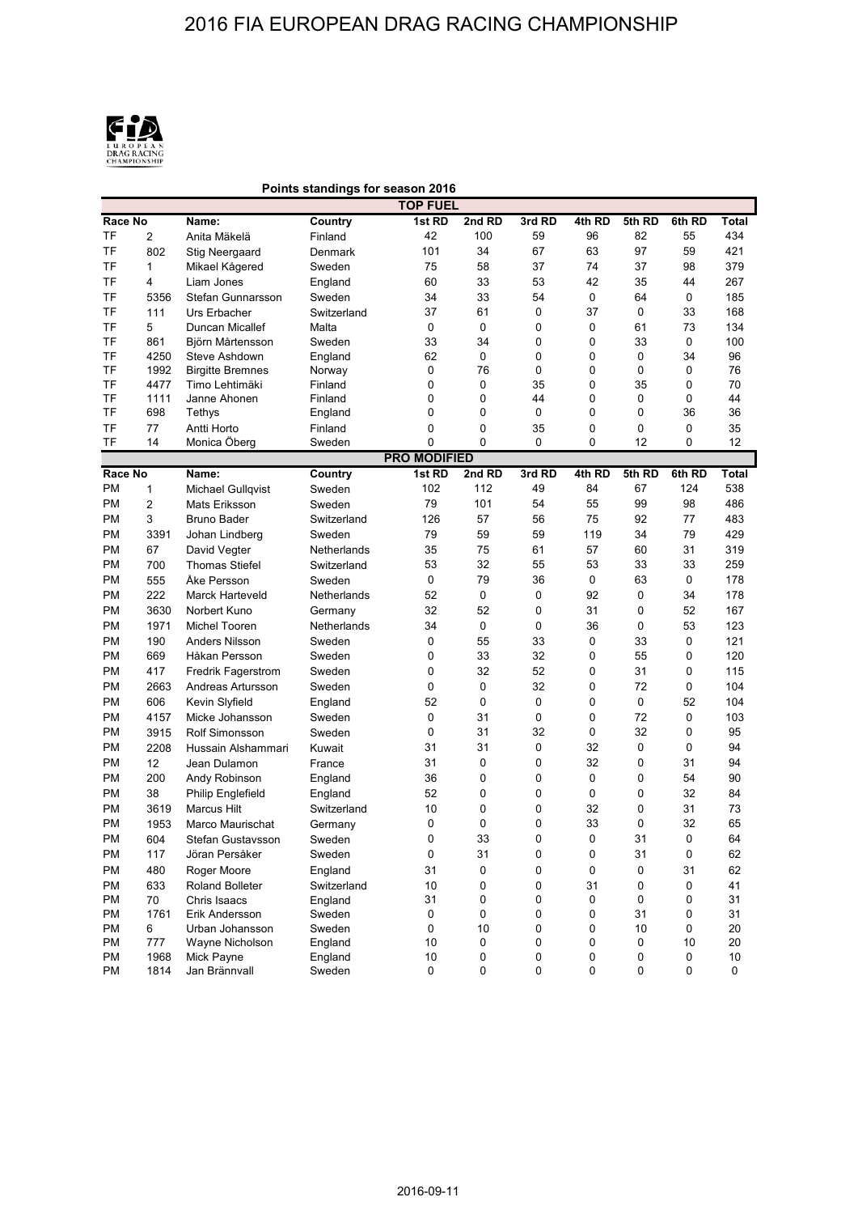

## **Points standings for season 2016**

| <b>TOP FUEL</b> |                |                                    |                   |                     |             |        |        |         |             |          |
|-----------------|----------------|------------------------------------|-------------------|---------------------|-------------|--------|--------|---------|-------------|----------|
| Race No         |                | Name:                              | <b>Country</b>    | 1st RD              | 2nd RD      | 3rd RD | 4th RD | 5th RD  | 6th RD      | Total    |
| TF              | $\overline{c}$ | Anita Mäkelä                       | Finland           | 42                  | 100         | 59     | 96     | 82      | 55          | 434      |
| <b>TF</b>       | 802            | Stig Neergaard                     | Denmark           | 101                 | 34          | 67     | 63     | 97      | 59          | 421      |
| TF              | 1              | Mikael Kågered                     | Sweden            | 75                  | 58          | 37     | 74     | 37      | 98          | 379      |
| <b>TF</b>       | 4              | Liam Jones                         | England           | 60                  | 33          | 53     | 42     | 35      | 44          | 267      |
| <b>TF</b>       | 5356           | Stefan Gunnarsson                  | Sweden            | 34                  | 33          | 54     | 0      | 64      | 0           | 185      |
| <b>TF</b>       | 111            | Urs Erbacher                       | Switzerland       | 37                  | 61          | 0      | 37     | 0       | 33          | 168      |
| <b>TF</b>       | 5              | Duncan Micallef                    | Malta             | $\mathbf 0$         | $\mathbf 0$ | 0      | 0      | 61      | 73          | 134      |
| <b>TF</b>       | 861            | Björn Mårtensson                   | Sweden            | 33                  | 34          | 0      | 0      | 33      | 0           | 100      |
| TF              | 4250           | Steve Ashdown                      | England           | 62                  | 0           | 0      | 0      | 0       | 34          | 96       |
| <b>TF</b>       | 1992           | <b>Birgitte Bremnes</b>            | Norway            | 0                   | 76          | 0      | 0      | 0       | 0           | 76       |
| TF              | 4477           | Timo Lehtimäki                     | Finland           | $\mathbf 0$         | $\mathbf 0$ | 35     | 0      | 35      | 0           | 70       |
| <b>TF</b>       | 1111           | Janne Ahonen                       | Finland           | 0                   | 0           | 44     | 0      | 0       | 0           | 44       |
| <b>TF</b>       | 698            | Tethys                             | England           | 0                   | 0           | 0      | 0      | 0       | 36          | 36       |
| <b>TF</b>       | 77             | Antti Horto                        | Finland           | $\mathbf 0$         | 0           | 35     | 0      | 0       | $\mathbf 0$ | 35       |
| TF              | 14             | Monica Öberg                       | Sweden            | 0                   | 0           | 0      | 0      | 12      | 0           | 12       |
|                 |                |                                    |                   | <b>PRO MODIFIED</b> |             |        |        |         |             |          |
| Race No         |                | Name:                              | <b>Country</b>    | 1st RD              | 2nd RD      | 3rd RD | 4th RD | 5th RD  | 6th RD      | Total    |
| PM              | 1              | <b>Michael Gullqvist</b>           | Sweden            | 102                 | 112         | 49     | 84     | 67      | 124         | 538      |
| PM              | $\overline{c}$ | Mats Eriksson                      | Sweden            | 79                  | 101         | 54     | 55     | 99      | 98          | 486      |
| PM              | 3              | <b>Bruno Bader</b>                 | Switzerland       | 126                 | 57          | 56     | 75     | 92      | 77          | 483      |
| PM              | 3391           | Johan Lindberg                     | Sweden            | 79                  | 59          | 59     | 119    | 34      | 79          | 429      |
| PM              | 67             | David Vegter                       | Netherlands       | 35                  | 75          | 61     | 57     | 60      | 31          | 319      |
| PM              | 700            | <b>Thomas Stiefel</b>              | Switzerland       | 53                  | 32          | 55     | 53     | 33      | 33          | 259      |
| <b>PM</b>       | 555            | Åke Persson                        | Sweden            | $\pmb{0}$           | 79          | 36     | 0      | 63      | $\pmb{0}$   | 178      |
| PM              | 222            | Marck Harteveld                    | Netherlands       | 52                  | 0           | 0      | 92     | 0       | 34          | 178      |
| <b>PM</b>       | 3630           | Norbert Kuno                       | Germany           | 32                  | 52          | 0      | 31     | 0       | 52          | 167      |
| PM              | 1971           | Michel Tooren                      | Netherlands       | 34                  | 0           | 0      | 36     | 0       | 53          | 123      |
| PM              | 190            | <b>Anders Nilsson</b>              | Sweden            | 0                   | 55          | 33     | 0      | 33      | 0           | 121      |
| <b>PM</b>       | 669            | Håkan Persson                      | Sweden            | $\mathbf 0$         | 33          | 32     | 0      | 55      | 0           | 120      |
| PM              | 417            | <b>Fredrik Fagerstrom</b>          | Sweden            | 0                   | 32          | 52     | 0      | 31      | 0           | 115      |
| PM              | 2663           | Andreas Artursson                  | Sweden            | 0                   | $\mathbf 0$ | 32     | 0      | 72      | 0           | 104      |
| PM              | 606            | Kevin Slyfield                     | England           | 52                  | $\mathbf 0$ | 0      | 0      | 0       | 52          | 104      |
| PM              | 4157           | Micke Johansson                    | Sweden            | 0                   | 31          | 0      | 0      | 72      | 0           | 103      |
| PM              | 3915           | <b>Rolf Simonsson</b>              | Sweden            | $\mathbf 0$         | 31          | 32     | 0      | 32      | 0           | 95       |
| PM              | 2208           | Hussain Alshammari                 | Kuwait            | 31                  | 31          | 0      | 32     | 0       | 0           | 94       |
| PM              | 12             | Jean Dulamon                       | France            | 31                  | 0           | 0      | 32     | 0       | 31          | 94       |
| PM              | 200            | Andy Robinson                      | England           | 36                  | 0           | 0      | 0      | 0       | 54          | 90       |
| PM              | 38             | <b>Philip Englefield</b>           | England           | 52                  | 0           | 0      | 0      | 0       | 32          | 84       |
| PM              | 3619           | <b>Marcus Hilt</b>                 | Switzerland       | 10                  | 0           | 0      | 32     | 0       | 31          | 73       |
| PM              | 1953           | Marco Maurischat                   | Germany           | 0                   | 0           | 0      | 33     | 0       | 32          | 65       |
| <b>PM</b>       | 604            | Stefan Gustavsson                  | Sweden            | 0                   | 33          | 0      | 0      | 31      | $\Omega$    | 64       |
| PM              | 117            | Jöran Persåker                     | Sweden            | $\pmb{0}$           | 31          | 0      | 0      | 31      | 0           | 62       |
| PM              | 480            | Roger Moore                        | England           | 31                  | $\mathsf 0$ | 0      | 0      | 0       | 31          | 62       |
| PM              | 633            | Roland Bolleter                    | Switzerland       | 10                  | 0           | 0      | 31     | 0       | 0           | 41       |
| PM              | 70             | Chris Isaacs                       | England           | 31                  | 0           | 0      | 0      | 0       | 0           | 31       |
| PM              | 1761           | Erik Andersson                     | Sweden            | 0                   | 0           | 0      | 0      | 31      | 0<br>0      | 31       |
| PM<br>PM        | 6<br>777       | Urban Johansson<br>Wayne Nicholson | Sweden<br>England | 0<br>10             | 10<br>0     | 0<br>0 | 0<br>0 | 10<br>0 | 10          | 20<br>20 |
| PM              | 1968           | Mick Payne                         | England           | 10                  | 0           | 0      | 0      | 0       | 0           | $10$     |
| PM              | 1814           | Jan Brännvall                      | Sweden            | 0                   | 0           | 0      | 0      | 0       | 0           | 0        |
|                 |                |                                    |                   |                     |             |        |        |         |             |          |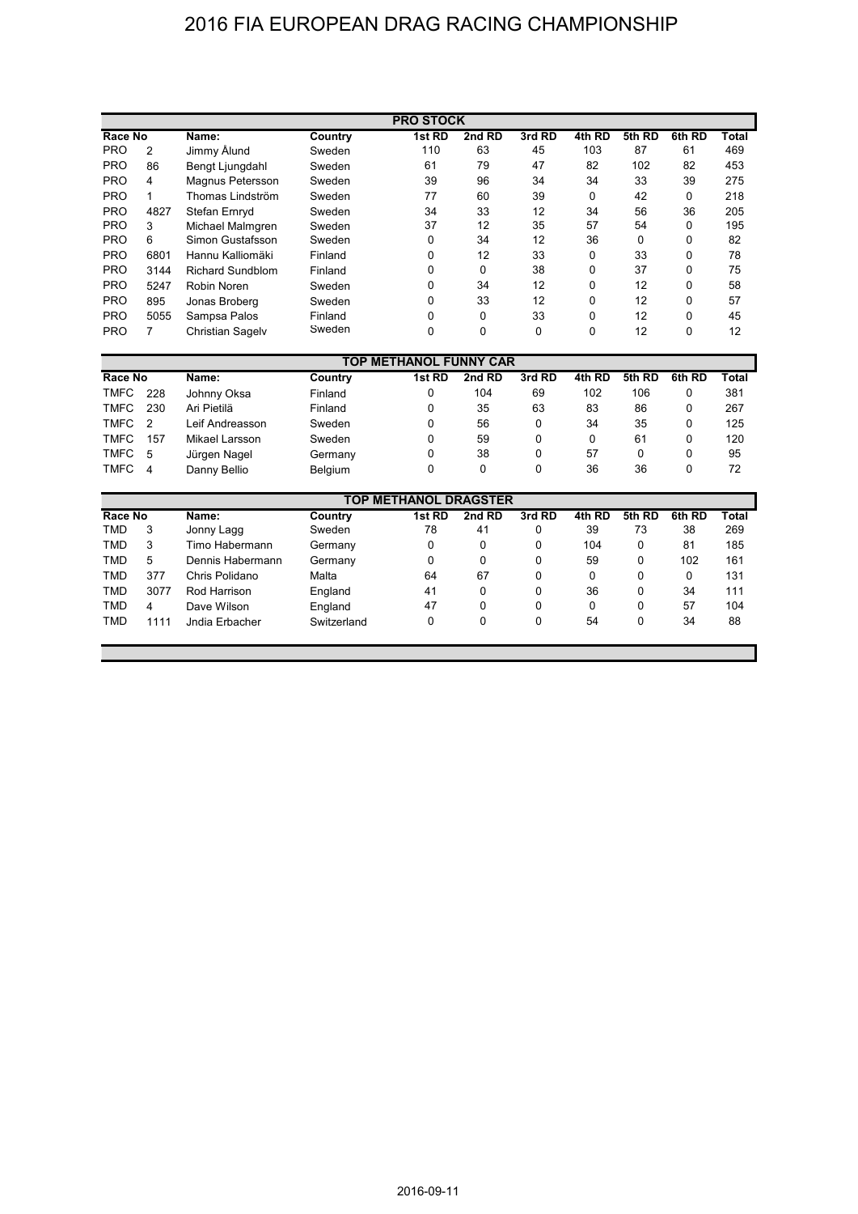## 2016 FIA EUROPEAN DRAG RACING CHAMPIONSHIP

| <b>PRO STOCK</b> |      |                         |         |          |          |          |          |        |              |       |
|------------------|------|-------------------------|---------|----------|----------|----------|----------|--------|--------------|-------|
| Race No          |      | Name:                   | Country | 1st RD   | 2nd RD   | 3rd RD   | 4th RD   | 5th RD | 6th RD       | Total |
| <b>PRO</b>       | 2    | Jimmy Alund             | Sweden  | 110      | 63       | 45       | 103      | 87     | 61           | 469   |
| <b>PRO</b>       | 86   | Bengt Ljungdahl         | Sweden  | 61       | 79       | 47       | 82       | 102    | 82           | 453   |
| <b>PRO</b>       | 4    | Magnus Petersson        | Sweden  | 39       | 96       | 34       | 34       | 33     | 39           | 275   |
| <b>PRO</b>       | 1    | Thomas Lindström        | Sweden  | 77       | 60       | 39       | $\Omega$ | 42     | 0            | 218   |
| <b>PRO</b>       | 4827 | Stefan Ernryd           | Sweden  | 34       | 33       | 12       | 34       | 56     | 36           | 205   |
| <b>PRO</b>       | 3    | Michael Malmgren        | Sweden  | 37       | 12       | 35       | 57       | 54     | 0            | 195   |
| <b>PRO</b>       | 6    | Simon Gustafsson        | Sweden  | $\Omega$ | 34       | 12       | 36       | 0      | $\Omega$     | 82    |
| <b>PRO</b>       | 6801 | Hannu Kalliomäki        | Finland | $\Omega$ | 12       | 33       | 0        | 33     | 0            | 78    |
| <b>PRO</b>       | 3144 | <b>Richard Sundblom</b> | Finland | $\Omega$ | $\Omega$ | 38       | 0        | 37     | $\Omega$     | 75    |
| <b>PRO</b>       | 5247 | Robin Noren             | Sweden  | $\Omega$ | 34       | 12       | 0        | 12     | 0            | 58    |
| <b>PRO</b>       | 895  | Jonas Broberg           | Sweden  | $\Omega$ | 33       | 12       | 0        | 12     | $\Omega$     | 57    |
| <b>PRO</b>       | 5055 | Sampsa Palos            | Finland | $\Omega$ | 0        | 33       | 0        | 12     | 0            | 45    |
| <b>PRO</b>       |      | <b>Christian Sagelv</b> | Sweden  | $\Omega$ | 0        | $\Omega$ | 0        | 12     | <sup>0</sup> | 12    |

| <b>TOP METHANOL FUNNY CAR</b> |                |                 |         |        |        |        |        |                  |        |       |
|-------------------------------|----------------|-----------------|---------|--------|--------|--------|--------|------------------|--------|-------|
| Race No                       |                | Name:           | Country | 1st RD | 2nd RD | 3rd RD | 4th RD | <b>RD</b><br>5th | 6th RD | Total |
| <b>TMFC</b>                   | 228            | Johnny Oksa     | Finland |        | 104    | 69     | 102    | 106              |        | 381   |
| TMFC                          | 230            | Ari Pietilä     | Finland | 0      | 35     | 63     | 83     | 86               |        | 267   |
| TMFC                          | $\overline{2}$ | Leif Andreasson | Sweden  | 0      | 56     | 0      | 34     | 35               | 0      | 125   |
| TMFC                          | 157            | Mikael Larsson  | Sweden  | 0      | 59     | 0      | 0      | 61               |        | 120   |
| TMFC 5                        |                | Jürgen Nagel    | Germany | 0      | 38     | 0      | 57     | 0                |        | 95    |
| TMFC                          | - 4            | Danny Bellio    | Belgium |        | 0      | 0      | 36     | 36               |        | 72    |

| TOP METHANOL DRAGSTER |      |                  |             |        |        |        |        |        |        |       |
|-----------------------|------|------------------|-------------|--------|--------|--------|--------|--------|--------|-------|
| Race No               |      | Name:            | Country     | 1st RD | 2nd RD | 3rd RD | 4th RD | 5th RD | 6th RD | Total |
| TMD                   | 3    | Jonny Lagg       | Sweden      | 78     | 41     | 0      | 39     | 73     | 38     | 269   |
| TMD                   | 3    | Timo Habermann   | Germany     | 0      | 0      | 0      | 104    | 0      | 81     | 185   |
| TMD                   | 5    | Dennis Habermann | Germany     | 0      | 0      | 0      | 59     | 0      | 102    | 161   |
| <b>TMD</b>            | 377  | Chris Polidano   | Malta       | 64     | 67     | 0      | 0      | 0      | 0      | 131   |
| <b>TMD</b>            | 3077 | Rod Harrison     | England     | 41     | 0      | 0      | 36     | 0      | 34     | 111   |
| TMD                   | 4    | Dave Wilson      | England     | 47     | 0      | 0      | 0      | 0      | 57     | 104   |
| <b>TMD</b>            | 1111 | Jndia Erbacher   | Switzerland | 0      | 0      | 0      | 54     | 0      | 34     | 88    |
|                       |      |                  |             |        |        |        |        |        |        |       |